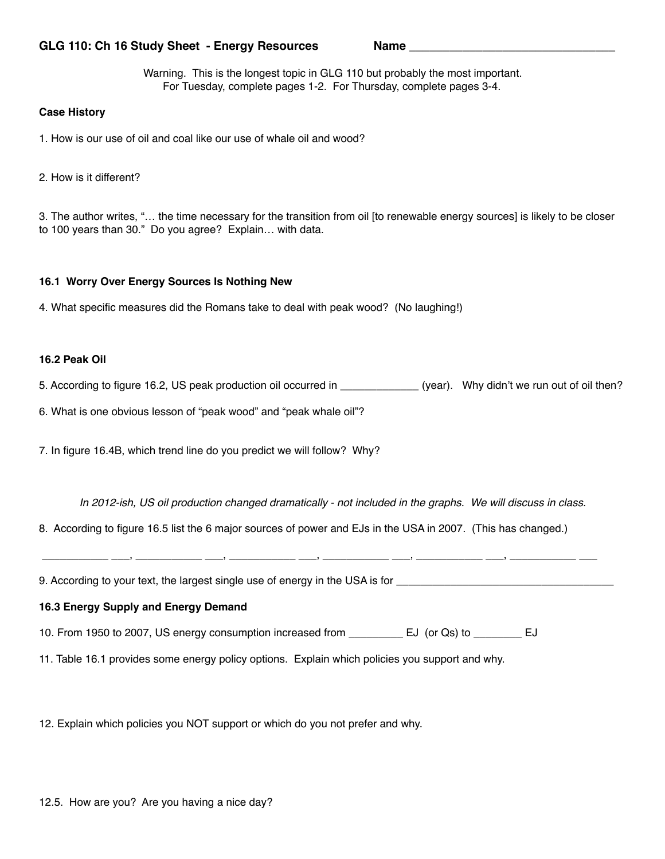## GLG 110: Ch 16 Study Sheet - Energy Resources Name

Warning. This is the longest topic in GLG 110 but probably the most important. For Tuesday, complete pages 1-2. For Thursday, complete pages 3-4.

### **Case History**

1. How is our use of oil and coal like our use of whale oil and wood?

2. How is it different?

3. The author writes, "… the time necessary for the transition from oil [to renewable energy sources] is likely to be closer to 100 years than 30." Do you agree? Explain… with data.

#### **16.1 Worry Over Energy Sources Is Nothing New**

4. What specific measures did the Romans take to deal with peak wood? (No laughing!)

## **16.2 Peak Oil**

5. According to figure 16.2, US peak production oil occurred in \_\_\_\_\_\_\_\_\_\_\_\_\_\_ (year). Why didn't we run out of oil then?

6. What is one obvious lesson of "peak wood" and "peak whale oil"?

7. In figure 16.4B, which trend line do you predict we will follow? Why?

*In 2012-ish, US oil production changed dramatically - not included in the graphs. We will discuss in class.* 

8. According to figure 16.5 list the 6 major sources of power and EJs in the USA in 2007. (This has changed.)

\_\_\_\_\_\_\_\_\_\_\_ \_\_\_, \_\_\_\_\_\_\_\_\_\_\_ \_\_\_, \_\_\_\_\_\_\_\_\_\_\_ \_\_\_, \_\_\_\_\_\_\_\_\_\_\_ \_\_\_, \_\_\_\_\_\_\_\_\_\_\_ \_\_\_, \_\_\_\_\_\_\_\_\_\_\_ \_\_\_

9. According to your text, the largest single use of energy in the USA is for \_\_\_\_\_\_\_\_\_\_\_\_\_\_\_\_\_\_\_\_\_\_\_\_\_\_\_\_\_\_\_\_

## **16.3 Energy Supply and Energy Demand**

10. From 1950 to 2007, US energy consumption increased from \_\_\_\_\_\_\_\_\_ EJ (or Qs) to \_\_\_\_\_\_\_\_ EJ

11. Table 16.1 provides some energy policy options. Explain which policies you support and why.

12. Explain which policies you NOT support or which do you not prefer and why.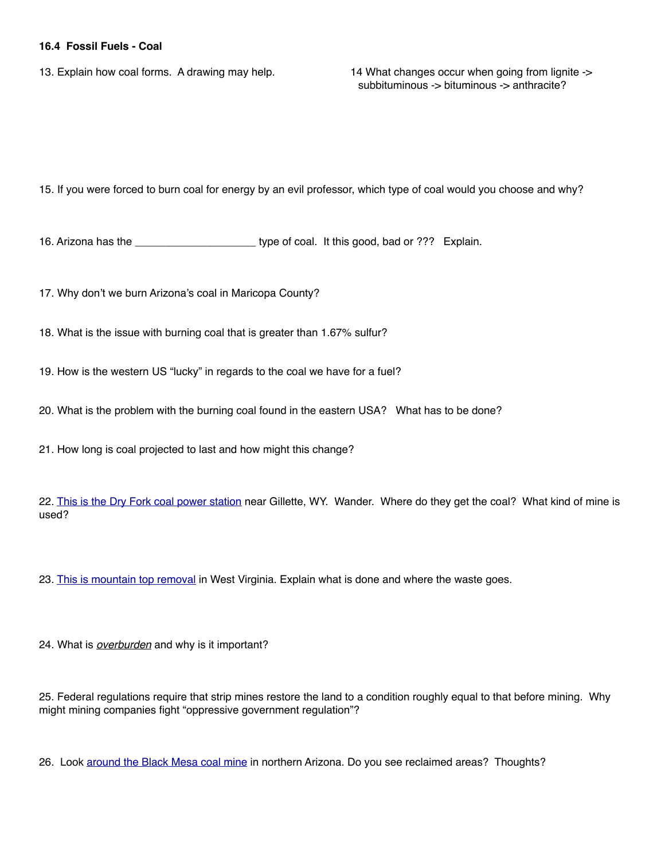## **16.4 Fossil Fuels - Coal**

13. Explain how coal forms. A drawing may help. 14 What changes occur when going from lignite ->

subbituminous -> bituminous -> anthracite?

15. If you were forced to burn coal for energy by an evil professor, which type of coal would you choose and why?

16. Arizona has the \_\_\_\_\_\_\_\_\_\_\_\_\_\_\_\_\_\_\_\_ type of coal. It this good, bad or ??? Explain.

17. Why don't we burn Arizona's coal in Maricopa County?

18. What is the issue with burning coal that is greater than 1.67% sulfur?

19. How is the western US "lucky" in regards to the coal we have for a fuel?

20. What is the problem with the burning coal found in the eastern USA? What has to be done?

21. How long is coal projected to last and how might this change?

22. [This is the Dry Fork coal power station](https://binged.it/2C85QMe) near Gillette, WY. Wander. Where do they get the coal? What kind of mine is used?

23. [This is mountain top removal](https://binged.it/2wzAEPH) in West Virginia. Explain what is done and where the waste goes.

24. What is *overburden* and why is it important?

25. Federal regulations require that strip mines restore the land to a condition roughly equal to that before mining. Why might mining companies fight "oppressive government regulation"?

26. Look [around the Black Mesa coal mine](https://www.google.com/maps/@36.4667276,-110.3620929,10646m/data=!3m1!1e3) in northern Arizona. Do you see reclaimed areas? Thoughts?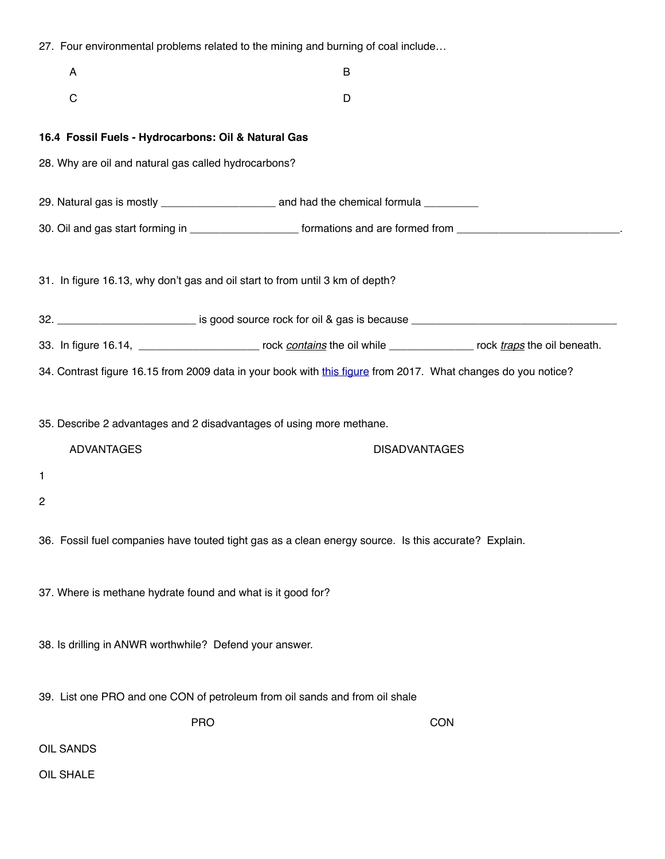|   | 27. Four environmental problems related to the mining and burning of coal include |                                                                                                                              |            |  |
|---|-----------------------------------------------------------------------------------|------------------------------------------------------------------------------------------------------------------------------|------------|--|
|   | A                                                                                 | B                                                                                                                            |            |  |
|   | $\mathsf C$                                                                       | D                                                                                                                            |            |  |
|   | 16.4 Fossil Fuels - Hydrocarbons: Oil & Natural Gas                               |                                                                                                                              |            |  |
|   | 28. Why are oil and natural gas called hydrocarbons?                              |                                                                                                                              |            |  |
|   |                                                                                   |                                                                                                                              |            |  |
|   |                                                                                   | 30. Oil and gas start forming in ______________________ formations and are formed from ________________________________      |            |  |
|   |                                                                                   | 31. In figure 16.13, why don't gas and oil start to from until 3 km of depth?                                                |            |  |
|   |                                                                                   | 32. _____________________________ is good source rock for oil & gas is because _______________________________               |            |  |
|   |                                                                                   | 33. In figure 16.14, ____________________________ rock contains the oil while __________________ rock traps the oil beneath. |            |  |
|   |                                                                                   | 34. Contrast figure 16.15 from 2009 data in your book with this figure from 2017. What changes do you notice?                |            |  |
|   | 35. Describe 2 advantages and 2 disadvantages of using more methane.              |                                                                                                                              |            |  |
|   | <b>ADVANTAGES</b>                                                                 | <b>DISADVANTAGES</b>                                                                                                         |            |  |
| 1 |                                                                                   |                                                                                                                              |            |  |
| 2 |                                                                                   |                                                                                                                              |            |  |
|   |                                                                                   | 36. Fossil fuel companies have touted tight gas as a clean energy source. Is this accurate? Explain.                         |            |  |
|   | 37. Where is methane hydrate found and what is it good for?                       |                                                                                                                              |            |  |
|   | 38. Is drilling in ANWR worthwhile? Defend your answer.                           |                                                                                                                              |            |  |
|   |                                                                                   | 39. List one PRO and one CON of petroleum from oil sands and from oil shale                                                  |            |  |
|   | <b>PRO</b>                                                                        |                                                                                                                              | <b>CON</b> |  |
|   | OIL SANDS                                                                         |                                                                                                                              |            |  |
|   | OIL SHALE                                                                         |                                                                                                                              |            |  |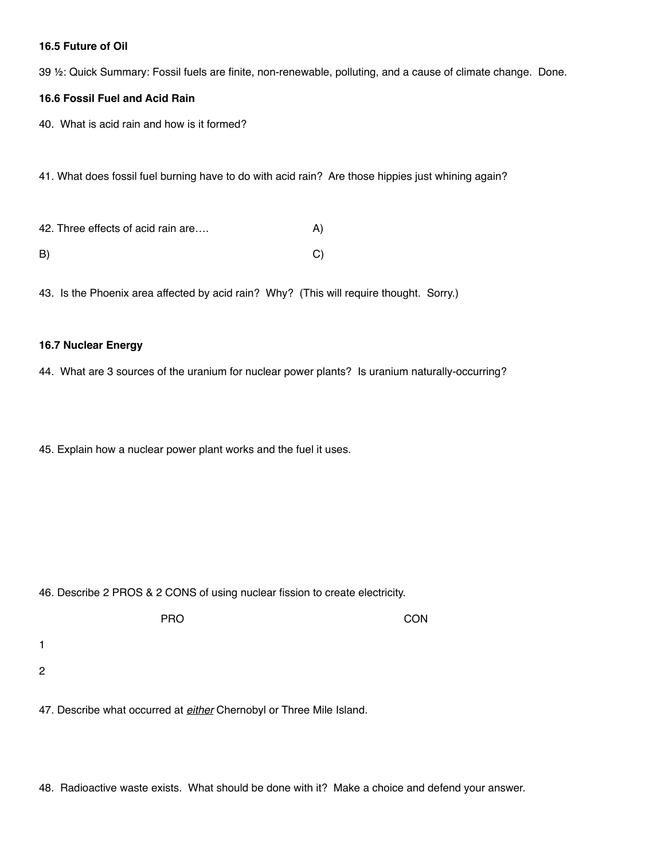## **16.5 Future of Oil**

39 ½: Quick Summary: Fossil fuels are finite, non-renewable, polluting, and a cause of climate change. Done.

# **16.6 Fossil Fuel and Acid Rain**

40. What is acid rain and how is it formed?

41. What does fossil fuel burning have to do with acid rain? Are those hippies just whining again?

42. Three effects of acid rain are…. A) B) C)

43. Is the Phoenix area affected by acid rain? Why? (This will require thought. Sorry.)

#### **16.7 Nuclear Energy**

1

2

44. What are 3 sources of the uranium for nuclear power plants? Is uranium naturally-occurring?

45. Explain how a nuclear power plant works and the fuel it uses.

46. Describe 2 PROS & 2 CONS of using nuclear fission to create electricity.

PRO CON

47. Describe what occurred at *either* Chernobyl or Three Mile Island.

48. Radioactive waste exists. What should be done with it? Make a choice and defend your answer.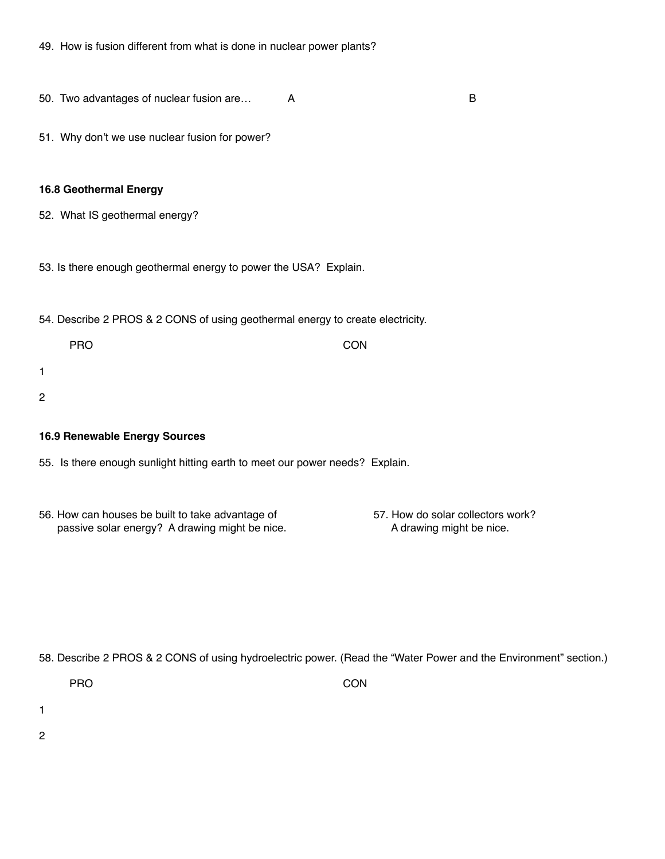50. Two advantages of nuclear fusion are… A B

51. Why don't we use nuclear fusion for power?

#### **16.8 Geothermal Energy**

- 52. What IS geothermal energy?
- 53. Is there enough geothermal energy to power the USA? Explain.

54. Describe 2 PROS & 2 CONS of using geothermal energy to create electricity.

| <b>PRO</b> | <b>CON</b> |
|------------|------------|
|            |            |
|            |            |
|            |            |

## **16.9 Renewable Energy Sources**

- 55. Is there enough sunlight hitting earth to meet our power needs? Explain.
- 56. How can houses be built to take advantage of 57. How do solar collectors work? passive solar energy? A drawing might be nice. A drawing might be nice.

58. Describe 2 PROS & 2 CONS of using hydroelectric power. (Read the "Water Power and the Environment" section.)

PRO CON

1

1

2

2